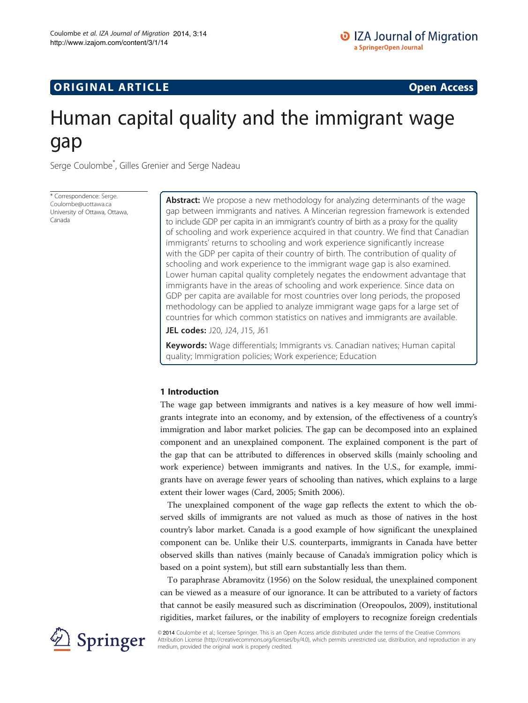# **ORIGINAL ARTICLE CONSERVANCE IN A LOCAL CONSERVANCE IN A LOCAL CONSERVANCE IN A LOCAL CONSERVANCE IN A LOCAL CONSERVANCE IN A LOCAL CONSERVANCE IN A LOCAL CONSERVANCE IN A LOCAL CONSERVANCE IN A LOCAL CONSERVANCE IN A L**

# Human capital quality and the immigrant wage gap

Serge Coulombe\* , Gilles Grenier and Serge Nadeau

\* Correspondence: [Serge.](mailto:Serge.Coulombe@uottawa.ca) [Coulombe@uottawa.ca](mailto:Serge.Coulombe@uottawa.ca) University of Ottawa, Ottawa, Canada

Abstract: We propose a new methodology for analyzing determinants of the wage gap between immigrants and natives. A Mincerian regression framework is extended to include GDP per capita in an immigrant's country of birth as a proxy for the quality of schooling and work experience acquired in that country. We find that Canadian immigrants' returns to schooling and work experience significantly increase with the GDP per capita of their country of birth. The contribution of quality of schooling and work experience to the immigrant wage gap is also examined. Lower human capital quality completely negates the endowment advantage that immigrants have in the areas of schooling and work experience. Since data on GDP per capita are available for most countries over long periods, the proposed methodology can be applied to analyze immigrant wage gaps for a large set of countries for which common statistics on natives and immigrants are available.

JEL codes: J20, J24, J15, J61

Keywords: Wage differentials; Immigrants vs. Canadian natives; Human capital quality; Immigration policies; Work experience; Education

# 1 Introduction

The wage gap between immigrants and natives is a key measure of how well immigrants integrate into an economy, and by extension, of the effectiveness of a country's immigration and labor market policies. The gap can be decomposed into an explained component and an unexplained component. The explained component is the part of the gap that can be attributed to differences in observed skills (mainly schooling and work experience) between immigrants and natives. In the U.S., for example, immigrants have on average fewer years of schooling than natives, which explains to a large extent their lower wages (Card, [2005;](#page-21-0) Smith [2006](#page-21-0)).

The unexplained component of the wage gap reflects the extent to which the observed skills of immigrants are not valued as much as those of natives in the host country's labor market. Canada is a good example of how significant the unexplained component can be. Unlike their U.S. counterparts, immigrants in Canada have better observed skills than natives (mainly because of Canada's immigration policy which is based on a point system), but still earn substantially less than them.

To paraphrase Abramovitz ([1956](#page-20-0)) on the Solow residual, the unexplained component can be viewed as a measure of our ignorance. It can be attributed to a variety of factors that cannot be easily measured such as discrimination (Oreopoulos, [2009](#page-21-0)), institutional rigidities, market failures, or the inability of employers to recognize foreign credentials



© 2014 Coulombe et al.; licensee Springer. This is an Open Access article distributed under the terms of the Creative Commons Attribution License [\(http://creativecommons.org/licenses/by/4.0\)](http://creativecommons.org/licenses/by/4.0), which permits unrestricted use, distribution, and reproduction in any medium, provided the original work is properly credited.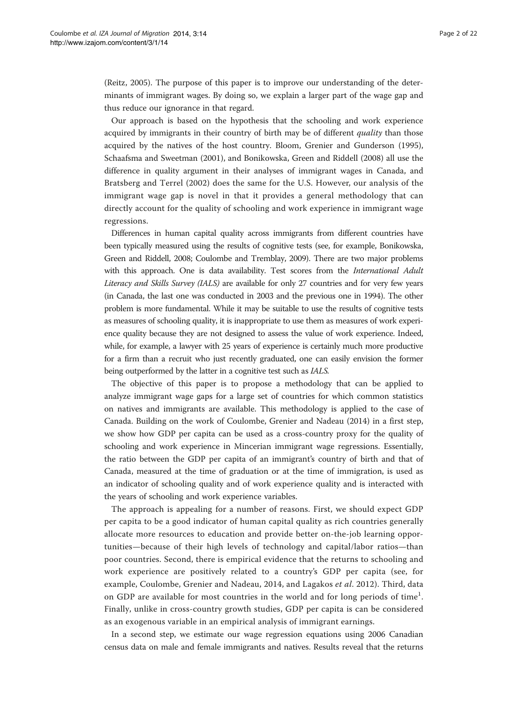(Reitz, [2005\)](#page-21-0). The purpose of this paper is to improve our understanding of the determinants of immigrant wages. By doing so, we explain a larger part of the wage gap and thus reduce our ignorance in that regard.

Our approach is based on the hypothesis that the schooling and work experience acquired by immigrants in their country of birth may be of different quality than those acquired by the natives of the host country. Bloom, Grenier and Gunderson ([1995](#page-20-0)), Schaafsma and Sweetman [\(2001\)](#page-21-0), and Bonikowska, Green and Riddell [\(2008\)](#page-20-0) all use the difference in quality argument in their analyses of immigrant wages in Canada, and Bratsberg and Terrel ([2002\)](#page-20-0) does the same for the U.S. However, our analysis of the immigrant wage gap is novel in that it provides a general methodology that can directly account for the quality of schooling and work experience in immigrant wage regressions.

Differences in human capital quality across immigrants from different countries have been typically measured using the results of cognitive tests (see, for example, Bonikowska, Green and Riddell, [2008](#page-20-0); Coulombe and Tremblay, [2009](#page-21-0)). There are two major problems with this approach. One is data availability. Test scores from the *International Adult* Literacy and Skills Survey (IALS) are available for only 27 countries and for very few years (in Canada, the last one was conducted in 2003 and the previous one in 1994). The other problem is more fundamental. While it may be suitable to use the results of cognitive tests as measures of schooling quality, it is inappropriate to use them as measures of work experience quality because they are not designed to assess the value of work experience. Indeed, while, for example, a lawyer with 25 years of experience is certainly much more productive for a firm than a recruit who just recently graduated, one can easily envision the former being outperformed by the latter in a cognitive test such as IALS.

The objective of this paper is to propose a methodology that can be applied to analyze immigrant wage gaps for a large set of countries for which common statistics on natives and immigrants are available. This methodology is applied to the case of Canada. Building on the work of Coulombe, Grenier and Nadeau [\(2014](#page-21-0)) in a first step, we show how GDP per capita can be used as a cross-country proxy for the quality of schooling and work experience in Mincerian immigrant wage regressions. Essentially, the ratio between the GDP per capita of an immigrant's country of birth and that of Canada, measured at the time of graduation or at the time of immigration, is used as an indicator of schooling quality and of work experience quality and is interacted with the years of schooling and work experience variables.

The approach is appealing for a number of reasons. First, we should expect GDP per capita to be a good indicator of human capital quality as rich countries generally allocate more resources to education and provide better on-the-job learning opportunities—because of their high levels of technology and capital/labor ratios—than poor countries. Second, there is empirical evidence that the returns to schooling and work experience are positively related to a country's GDP per capita (see, for example, Coulombe, Grenier and Nadeau, [2014](#page-21-0), and Lagakos et al. [2012](#page-21-0)). Third, data on GDP are available for most countries in the world and for long periods of time<sup>1</sup>. Finally, unlike in cross-country growth studies, GDP per capita is can be considered as an exogenous variable in an empirical analysis of immigrant earnings.

In a second step, we estimate our wage regression equations using 2006 Canadian census data on male and female immigrants and natives. Results reveal that the returns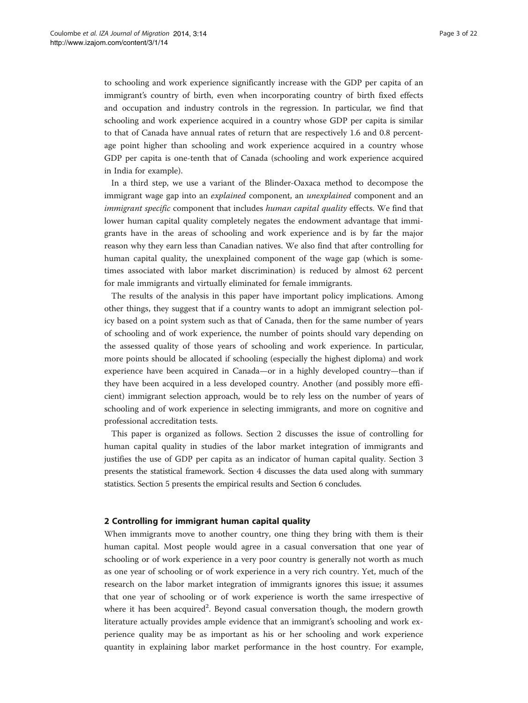<span id="page-2-0"></span>to schooling and work experience significantly increase with the GDP per capita of an immigrant's country of birth, even when incorporating country of birth fixed effects and occupation and industry controls in the regression. In particular, we find that schooling and work experience acquired in a country whose GDP per capita is similar to that of Canada have annual rates of return that are respectively 1.6 and 0.8 percentage point higher than schooling and work experience acquired in a country whose GDP per capita is one-tenth that of Canada (schooling and work experience acquired in India for example).

In a third step, we use a variant of the Blinder-Oaxaca method to decompose the immigrant wage gap into an *explained* component, an *unexplained* component and an immigrant specific component that includes human capital quality effects. We find that lower human capital quality completely negates the endowment advantage that immigrants have in the areas of schooling and work experience and is by far the major reason why they earn less than Canadian natives. We also find that after controlling for human capital quality, the unexplained component of the wage gap (which is sometimes associated with labor market discrimination) is reduced by almost 62 percent for male immigrants and virtually eliminated for female immigrants.

The results of the analysis in this paper have important policy implications. Among other things, they suggest that if a country wants to adopt an immigrant selection policy based on a point system such as that of Canada, then for the same number of years of schooling and of work experience, the number of points should vary depending on the assessed quality of those years of schooling and work experience. In particular, more points should be allocated if schooling (especially the highest diploma) and work experience have been acquired in Canada—or in a highly developed country—than if they have been acquired in a less developed country. Another (and possibly more efficient) immigrant selection approach, would be to rely less on the number of years of schooling and of work experience in selecting immigrants, and more on cognitive and professional accreditation tests.

This paper is organized as follows. Section 2 discusses the issue of controlling for human capital quality in studies of the labor market integration of immigrants and justifies the use of GDP per capita as an indicator of human capital quality. Section [3](#page-4-0) presents the statistical framework. Section [4](#page-6-0) discusses the data used along with summary statistics. Section [5](#page-7-0) presents the empirical results and Section [6](#page-8-0) concludes.

#### 2 Controlling for immigrant human capital quality

When immigrants move to another country, one thing they bring with them is their human capital. Most people would agree in a casual conversation that one year of schooling or of work experience in a very poor country is generally not worth as much as one year of schooling or of work experience in a very rich country. Yet, much of the research on the labor market integration of immigrants ignores this issue; it assumes that one year of schooling or of work experience is worth the same irrespective of where it has been acquired<sup>2</sup>. Beyond casual conversation though, the modern growth literature actually provides ample evidence that an immigrant's schooling and work experience quality may be as important as his or her schooling and work experience quantity in explaining labor market performance in the host country. For example,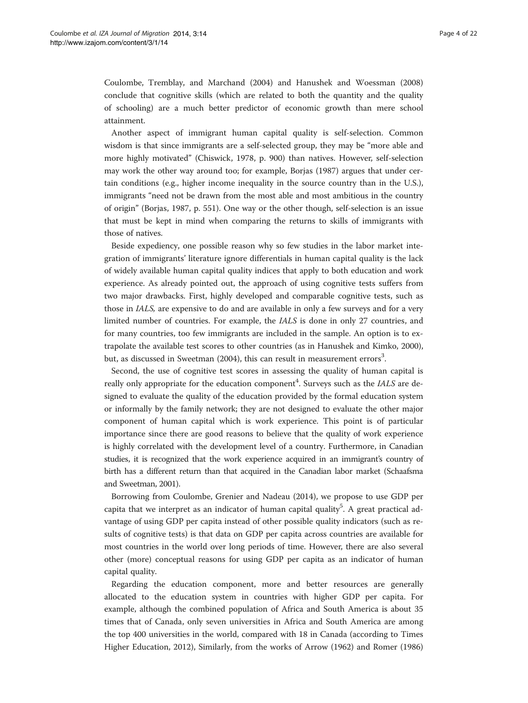Coulombe, Tremblay, and Marchand [\(2004\)](#page-21-0) and Hanushek and Woessman ([2008](#page-21-0)) conclude that cognitive skills (which are related to both the quantity and the quality of schooling) are a much better predictor of economic growth than mere school attainment.

Another aspect of immigrant human capital quality is self-selection. Common wisdom is that since immigrants are a self-selected group, they may be "more able and more highly motivated" (Chiswick, [1978](#page-21-0), p. 900) than natives. However, self-selection may work the other way around too; for example, Borjas [\(1987](#page-20-0)) argues that under certain conditions (e.g., higher income inequality in the source country than in the U.S.), immigrants "need not be drawn from the most able and most ambitious in the country of origin" (Borjas, [1987](#page-20-0), p. 551). One way or the other though, self-selection is an issue that must be kept in mind when comparing the returns to skills of immigrants with those of natives.

Beside expediency, one possible reason why so few studies in the labor market integration of immigrants' literature ignore differentials in human capital quality is the lack of widely available human capital quality indices that apply to both education and work experience. As already pointed out, the approach of using cognitive tests suffers from two major drawbacks. First, highly developed and comparable cognitive tests, such as those in IALS, are expensive to do and are available in only a few surveys and for a very limited number of countries. For example, the IALS is done in only 27 countries, and for many countries, too few immigrants are included in the sample. An option is to extrapolate the available test scores to other countries (as in Hanushek and Kimko, [2000](#page-21-0)), but, as discussed in Sweetman ([2004\)](#page-21-0), this can result in measurement errors<sup>3</sup>.

Second, the use of cognitive test scores in assessing the quality of human capital is really only appropriate for the education component<sup>4</sup>. Surveys such as the IALS are designed to evaluate the quality of the education provided by the formal education system or informally by the family network; they are not designed to evaluate the other major component of human capital which is work experience. This point is of particular importance since there are good reasons to believe that the quality of work experience is highly correlated with the development level of a country. Furthermore, in Canadian studies, it is recognized that the work experience acquired in an immigrant's country of birth has a different return than that acquired in the Canadian labor market (Schaafsma and Sweetman, [2001\)](#page-21-0).

Borrowing from Coulombe, Grenier and Nadeau ([2014\)](#page-21-0), we propose to use GDP per capita that we interpret as an indicator of human capital quality<sup>5</sup>. A great practical advantage of using GDP per capita instead of other possible quality indicators (such as results of cognitive tests) is that data on GDP per capita across countries are available for most countries in the world over long periods of time. However, there are also several other (more) conceptual reasons for using GDP per capita as an indicator of human capital quality.

Regarding the education component, more and better resources are generally allocated to the education system in countries with higher GDP per capita. For example, although the combined population of Africa and South America is about 35 times that of Canada, only seven universities in Africa and South America are among the top 400 universities in the world, compared with 18 in Canada (according to Times Higher Education, [2012](#page-21-0)), Similarly, from the works of Arrow [\(1962](#page-20-0)) and Romer ([1986](#page-21-0))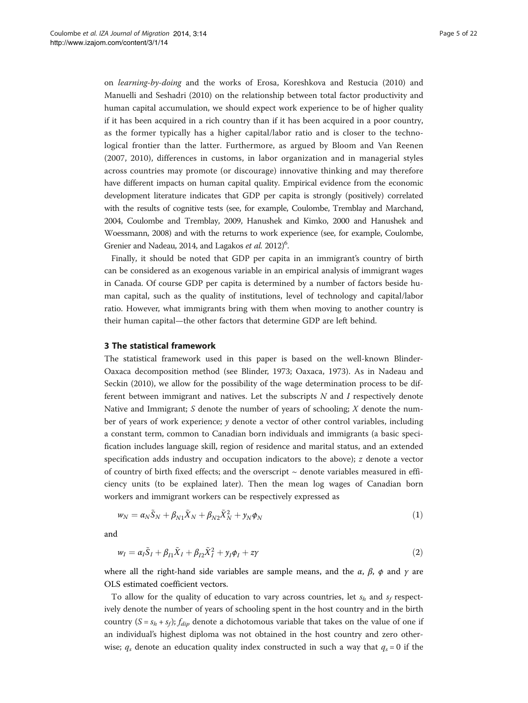<span id="page-4-0"></span>on learning-by-doing and the works of Erosa, Koreshkova and Restucia ([2010](#page-21-0)) and Manuelli and Seshadri ([2010](#page-21-0)) on the relationship between total factor productivity and human capital accumulation, we should expect work experience to be of higher quality if it has been acquired in a rich country than if it has been acquired in a poor country, as the former typically has a higher capital/labor ratio and is closer to the technological frontier than the latter. Furthermore, as argued by Bloom and Van Reenen ([2007, 2010](#page-20-0)), differences in customs, in labor organization and in managerial styles across countries may promote (or discourage) innovative thinking and may therefore have different impacts on human capital quality. Empirical evidence from the economic development literature indicates that GDP per capita is strongly (positively) correlated with the results of cognitive tests (see, for example, Coulombe, Tremblay and Marchand, [2004,](#page-21-0) Coulombe and Tremblay, [2009,](#page-21-0) Hanushek and Kimko, [2000](#page-21-0) and Hanushek and Woessmann, [2008\)](#page-21-0) and with the returns to work experience (see, for example, Coulombe, Grenier and Nadeau, [2014](#page-21-0), and Lagakos et al. [2012\)](#page-21-0)<sup>6</sup>.

Finally, it should be noted that GDP per capita in an immigrant's country of birth can be considered as an exogenous variable in an empirical analysis of immigrant wages in Canada. Of course GDP per capita is determined by a number of factors beside human capital, such as the quality of institutions, level of technology and capital/labor ratio. However, what immigrants bring with them when moving to another country is their human capital—the other factors that determine GDP are left behind.

# 3 The statistical framework

The statistical framework used in this paper is based on the well-known Blinder-Oaxaca decomposition method (see Blinder, [1973](#page-20-0); Oaxaca, [1973](#page-21-0)). As in Nadeau and Seckin ([2010](#page-21-0)), we allow for the possibility of the wage determination process to be different between immigrant and natives. Let the subscripts  $N$  and  $I$  respectively denote Native and Immigrant; S denote the number of years of schooling;  $X$  denote the number of years of work experience;  $y$  denote a vector of other control variables, including a constant term, common to Canadian born individuals and immigrants (a basic specification includes language skill, region of residence and marital status, and an extended specification adds industry and occupation indicators to the above); z denote a vector of country of birth fixed effects; and the overscript  $\sim$  denote variables measured in efficiency units (to be explained later). Then the mean log wages of Canadian born workers and immigrant workers can be respectively expressed as

$$
w_N = \alpha_N \tilde{S}_N + \beta_{N1} \tilde{X}_N + \beta_{N2} \tilde{X}_N^2 + y_N \phi_N
$$
\n<sup>(1)</sup>

and

$$
w_I = \alpha_I \tilde{S}_I + \beta_{I1} \tilde{X}_I + \beta_{I2} \tilde{X}_I^2 + y_I \phi_I + z \gamma \tag{2}
$$

where all the right-hand side variables are sample means, and the  $\alpha$ ,  $\beta$ ,  $\phi$  and  $\gamma$  are OLS estimated coefficient vectors.

To allow for the quality of education to vary across countries, let  $s_h$  and  $s_f$  respectively denote the number of years of schooling spent in the host country and in the birth country  $(S = s_h + s_f)$ ;  $f_{dip}$  denote a dichotomous variable that takes on the value of one if an individual's highest diploma was not obtained in the host country and zero otherwise;  $q_s$  denote an education quality index constructed in such a way that  $q_s = 0$  if the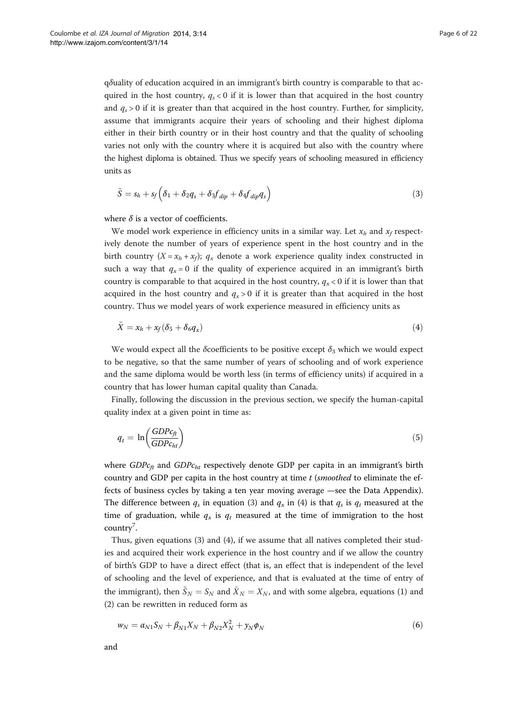<span id="page-5-0"></span>qδuality of education acquired in an immigrant's birth country is comparable to that acquired in the host country,  $q_s < 0$  if it is lower than that acquired in the host country and  $q_s > 0$  if it is greater than that acquired in the host country. Further, for simplicity, assume that immigrants acquire their years of schooling and their highest diploma either in their birth country or in their host country and that the quality of schooling varies not only with the country where it is acquired but also with the country where the highest diploma is obtained. Thus we specify years of schooling measured in efficiency units as

$$
\tilde{S} = s_h + s_f \left( \delta_1 + \delta_2 q_s + \delta_3 f_{dip} + \delta_4 f_{dip} q_s \right) \tag{3}
$$

where  $\delta$  is a vector of coefficients.

We model work experience in efficiency units in a similar way. Let  $x_h$  and  $x_f$  respectively denote the number of years of experience spent in the host country and in the birth country  $(X = x_h + x_f)$ ;  $q_x$  denote a work experience quality index constructed in such a way that  $q_x = 0$  if the quality of experience acquired in an immigrant's birth country is comparable to that acquired in the host country,  $q_x < 0$  if it is lower than that acquired in the host country and  $q_x > 0$  if it is greater than that acquired in the host country. Thus we model years of work experience measured in efficiency units as

$$
\tilde{X} = x_h + x_f(\delta_5 + \delta_6 q_x) \tag{4}
$$

We would expect all the δcoefficients to be positive except  $\delta_3$  which we would expect to be negative, so that the same number of years of schooling and of work experience and the same diploma would be worth less (in terms of efficiency units) if acquired in a country that has lower human capital quality than Canada.

Finally, following the discussion in the previous section, we specify the human-capital quality index at a given point in time as:

$$
q_t = \ln\left(\frac{GDPc_{ft}}{GDPc_{ht}}\right) \tag{5}
$$

where  $GDPc_{\hat{t}}$  and  $GDPc_{\hat{t}}$  respectively denote GDP per capita in an immigrant's birth country and GDP per capita in the host country at time t (smoothed to eliminate the effects of business cycles by taking a ten year moving average —see the Data Appendix). The difference between  $q_s$  in equation (3) and  $q_x$  in (4) is that  $q_s$  is  $q_t$  measured at the time of graduation, while  $q_x$  is  $q_t$  measured at the time of immigration to the host country<sup>7</sup>.

Thus, given equations (3) and (4), if we assume that all natives completed their studies and acquired their work experience in the host country and if we allow the country of birth's GDP to have a direct effect (that is, an effect that is independent of the level of schooling and the level of experience, and that is evaluated at the time of entry of the immigrant), then  $\tilde{S}_N = S_N$  and  $\tilde{X}_N = X_N$ , and with some algebra, equations ([1](#page-4-0)) and ([2\)](#page-4-0) can be rewritten in reduced form as

$$
w_N = \alpha_{N1} S_N + \beta_{N1} X_N + \beta_{N2} X_N^2 + y_N \phi_N
$$
\n(6)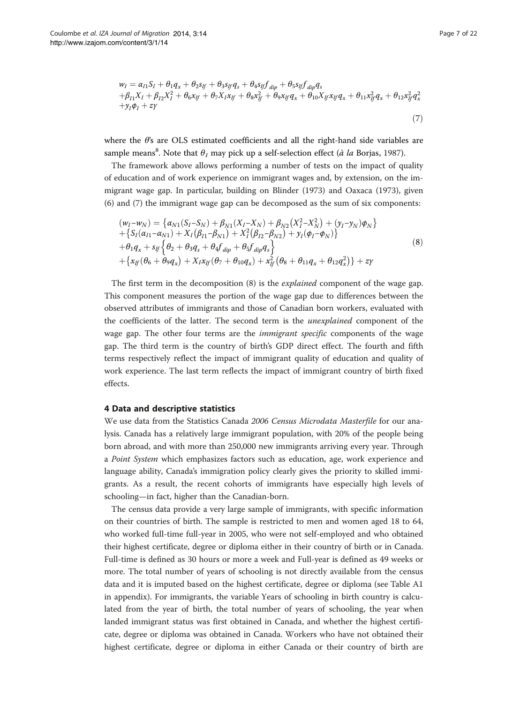<span id="page-6-0"></span>
$$
w_{I} = \alpha_{I1}S_{I} + \theta_{1}q_{x} + \theta_{2}s_{If} + \theta_{3}s_{if}q_{s} + \theta_{4}s_{if}f_{dip} + \theta_{5}s_{if}f_{dip}q_{s} + \beta_{I1}X_{I} + \beta_{I2}X_{I}^{2} + \theta_{6}x_{if} + \theta_{7}X_{I}x_{If} + \theta_{8}x_{if}^{2} + \theta_{9}x_{if}q_{x} + \theta_{10}X_{If}x_{if}q_{x} + \theta_{11}x_{if}^{2}q_{x} + \theta_{12}x_{if}^{2}q_{x}^{2} + y_{I}\phi_{I} + z\gamma
$$
\n(7)

where the  $\theta$ 's are OLS estimated coefficients and all the right-hand side variables are sample means<sup>8</sup>. Note that  $\theta_I$  may pick up a self-selection effect (*à la* Borjas, [1987](#page-20-0)).

The framework above allows performing a number of tests on the impact of quality of education and of work experience on immigrant wages and, by extension, on the immigrant wage gap. In particular, building on Blinder [\(1973\)](#page-20-0) and Oaxaca [\(1973\)](#page-21-0), given ([6\)](#page-5-0) and (7) the immigrant wage gap can be decomposed as the sum of six components:

$$
\begin{aligned}\n(\mathbf{w}_{I} - \mathbf{w}_{N}) &= \{ \alpha_{N1}(S_{I} - S_{N}) + \beta_{N1}(X_{I} - X_{N}) + \beta_{N2}(X_{I}^{2} - X_{N}^{2}) + (y_{I} - y_{N})\phi_{N} \} \\
&+ \{ S_{I}(\alpha_{I1} - \alpha_{N1}) + X_{I}(\beta_{I1} - \beta_{N1}) + X_{I}^{2}(\beta_{I2} - \beta_{N2}) + y_{I}(\phi_{I} - \phi_{N}) \} \\
&+ \theta_{1}q_{x} + s_{If} \Big\{ \theta_{2} + \theta_{3}q_{s} + \theta_{4}f_{dip} + \theta_{5}f_{dip}q_{s} \Big\} \\
&+ \{ x_{If}(\theta_{6} + \theta_{9}q_{x}) + X_{I}x_{If}(\theta_{7} + \theta_{10}q_{x}) + x_{If}^{2}(\theta_{8} + \theta_{11}q_{x} + \theta_{12}q_{x}^{2}) \} + z \gamma\n\end{aligned} \tag{8}
$$

The first term in the decomposition (8) is the explained component of the wage gap. This component measures the portion of the wage gap due to differences between the observed attributes of immigrants and those of Canadian born workers, evaluated with the coefficients of the latter. The second term is the unexplained component of the wage gap. The other four terms are the *immigrant specific* components of the wage gap. The third term is the country of birth's GDP direct effect. The fourth and fifth terms respectively reflect the impact of immigrant quality of education and quality of work experience. The last term reflects the impact of immigrant country of birth fixed effects.

# 4 Data and descriptive statistics

We use data from the Statistics Canada 2006 Census Microdata Masterfile for our analysis. Canada has a relatively large immigrant population, with 20% of the people being born abroad, and with more than 250,000 new immigrants arriving every year. Through a Point System which emphasizes factors such as education, age, work experience and language ability, Canada's immigration policy clearly gives the priority to skilled immigrants. As a result, the recent cohorts of immigrants have especially high levels of schooling—in fact, higher than the Canadian-born.

The census data provide a very large sample of immigrants, with specific information on their countries of birth. The sample is restricted to men and women aged 18 to 64, who worked full-time full-year in 2005, who were not self-employed and who obtained their highest certificate, degree or diploma either in their country of birth or in Canada. Full-time is defined as 30 hours or more a week and Full-year is defined as 49 weeks or more. The total number of years of schooling is not directly available from the census data and it is imputed based on the highest certificate, degree or diploma (see Table A1 in [appendix](#page-17-0)). For immigrants, the variable Years of schooling in birth country is calculated from the year of birth, the total number of years of schooling, the year when landed immigrant status was first obtained in Canada, and whether the highest certificate, degree or diploma was obtained in Canada. Workers who have not obtained their highest certificate, degree or diploma in either Canada or their country of birth are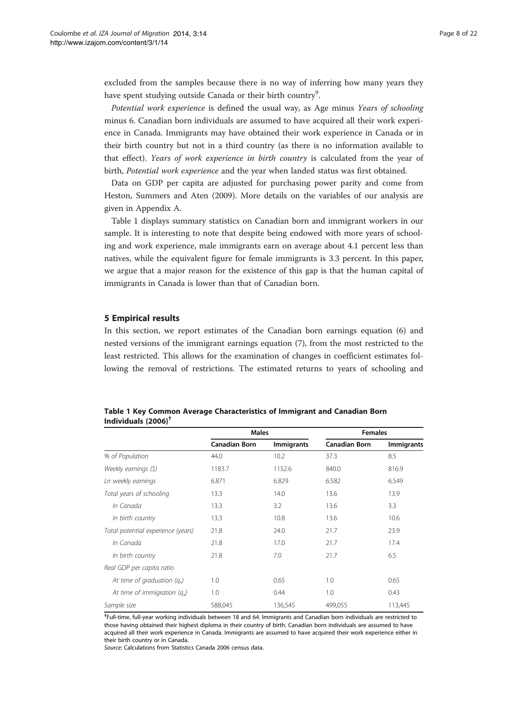<span id="page-7-0"></span>excluded from the samples because there is no way of inferring how many years they have spent studying outside Canada or their birth country<sup>9</sup>.

Potential work experience is defined the usual way, as Age minus Years of schooling minus 6. Canadian born individuals are assumed to have acquired all their work experience in Canada. Immigrants may have obtained their work experience in Canada or in their birth country but not in a third country (as there is no information available to that effect). Years of work experience in birth country is calculated from the year of birth, Potential work experience and the year when landed status was first obtained.

Data on GDP per capita are adjusted for purchasing power parity and come from Heston, Summers and Aten [\(2009](#page-21-0)). More details on the variables of our analysis are given in [Appendix A.](#page-17-0)

Table 1 displays summary statistics on Canadian born and immigrant workers in our sample. It is interesting to note that despite being endowed with more years of schooling and work experience, male immigrants earn on average about 4.1 percent less than natives, while the equivalent figure for female immigrants is 3.3 percent. In this paper, we argue that a major reason for the existence of this gap is that the human capital of immigrants in Canada is lower than that of Canadian born.

# 5 Empirical results

In this section, we report estimates of the Canadian born earnings equation [\(6](#page-5-0)) and nested versions of the immigrant earnings equation [\(7\)](#page-6-0), from the most restricted to the least restricted. This allows for the examination of changes in coefficient estimates following the removal of restrictions. The estimated returns to years of schooling and

|                                    | <b>Males</b>         |                   | <b>Females</b>       |                   |  |
|------------------------------------|----------------------|-------------------|----------------------|-------------------|--|
|                                    | <b>Canadian Born</b> | <b>Immigrants</b> | <b>Canadian Born</b> | <b>Immigrants</b> |  |
| % of Population                    | 44.0                 | 10.2              | 37.3                 | 8.5               |  |
| Weekly earnings (\$)               | 1183.7               | 1152.6            | 840.0                | 816.9             |  |
| Ln weekly earnings                 | 6.871                | 6.829             | 6.582                | 6.549             |  |
| Total years of schooling           | 13.3                 | 14.0              | 13.6                 | 13.9              |  |
| In Canada                          | 13.3                 | 3.2               | 13.6                 | 3.3               |  |
| In birth country                   | 13.3                 | 10.8              | 13.6                 | 10.6              |  |
| Total potential experience (years) | 21.8                 | 24.0              | 21.7                 | 23.9              |  |
| In Canada                          | 21.8                 | 17.0              | 21.7                 | 17.4              |  |
| In birth country                   | 21.8                 | 7.0               | 21.7                 | 6.5               |  |
| Real GDP per capita ratio          |                      |                   |                      |                   |  |
| At time of graduation $(qs)$       | 1.0                  | 0.65              | 1.0                  | 0.65              |  |
| At time of immigration $(qx)$      | 1.0                  | 0.44              | 1.0                  | 0.43              |  |
| Sample size                        | 588,045              | 136,545           | 499,055              | 113,445           |  |

Table 1 Key Common Average Characteristics of Immigrant and Canadian Born Individuals (2006)†

† Full-time, full-year working individuals between 18 and 64. Immigrants and Canadian born individuals are restricted to those having obtained their highest diploma in their country of birth. Canadian born individuals are assumed to have acquired all their work experience in Canada. Immigrants are assumed to have acquired their work experience either in their birth country or in Canada.

Source: Calculations from Statistics Canada 2006 census data.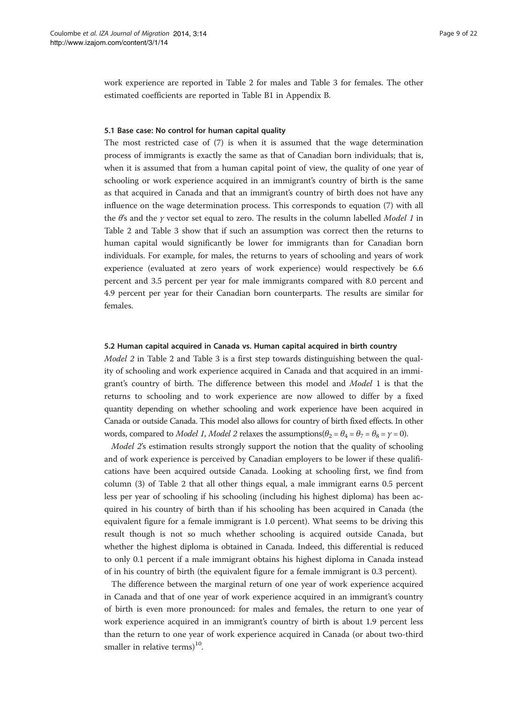<span id="page-8-0"></span>work experience are reported in Table [2](#page-9-0) for males and Table [3](#page-10-0) for females. The other estimated coefficients are reported in Table B1 in [Appendix B](#page-19-0).

## 5.1 Base case: No control for human capital quality

The most restricted case of [\(7](#page-6-0)) is when it is assumed that the wage determination process of immigrants is exactly the same as that of Canadian born individuals; that is, when it is assumed that from a human capital point of view, the quality of one year of schooling or work experience acquired in an immigrant's country of birth is the same as that acquired in Canada and that an immigrant's country of birth does not have any influence on the wage determination process. This corresponds to equation ([7\)](#page-6-0) with all the  $\theta$ 's and the *γ* vector set equal to zero. The results in the column labelled *Model 1* in Table [2](#page-9-0) and Table [3](#page-10-0) show that if such an assumption was correct then the returns to human capital would significantly be lower for immigrants than for Canadian born individuals. For example, for males, the returns to years of schooling and years of work experience (evaluated at zero years of work experience) would respectively be 6.6 percent and 3.5 percent per year for male immigrants compared with 8.0 percent and 4.9 percent per year for their Canadian born counterparts. The results are similar for females.

#### 5.2 Human capital acquired in Canada vs. Human capital acquired in birth country

Model 2 in Table [2](#page-9-0) and Table [3](#page-10-0) is a first step towards distinguishing between the quality of schooling and work experience acquired in Canada and that acquired in an immigrant's country of birth. The difference between this model and Model 1 is that the returns to schooling and to work experience are now allowed to differ by a fixed quantity depending on whether schooling and work experience have been acquired in Canada or outside Canada. This model also allows for country of birth fixed effects. In other words, compared to *Model 1*, *Model 2* relaxes the assumptions( $\theta_2 = \theta_4 = \theta_7 = \theta_8 = \gamma = 0$ ).

Model 2's estimation results strongly support the notion that the quality of schooling and of work experience is perceived by Canadian employers to be lower if these qualifications have been acquired outside Canada. Looking at schooling first, we find from column (3) of Table [2](#page-9-0) that all other things equal, a male immigrant earns 0.5 percent less per year of schooling if his schooling (including his highest diploma) has been acquired in his country of birth than if his schooling has been acquired in Canada (the equivalent figure for a female immigrant is 1.0 percent). What seems to be driving this result though is not so much whether schooling is acquired outside Canada, but whether the highest diploma is obtained in Canada. Indeed, this differential is reduced to only 0.1 percent if a male immigrant obtains his highest diploma in Canada instead of in his country of birth (the equivalent figure for a female immigrant is 0.3 percent).

The difference between the marginal return of one year of work experience acquired in Canada and that of one year of work experience acquired in an immigrant's country of birth is even more pronounced: for males and females, the return to one year of work experience acquired in an immigrant's country of birth is about 1.9 percent less than the return to one year of work experience acquired in Canada (or about two-third smaller in relative terms)<sup>10</sup>.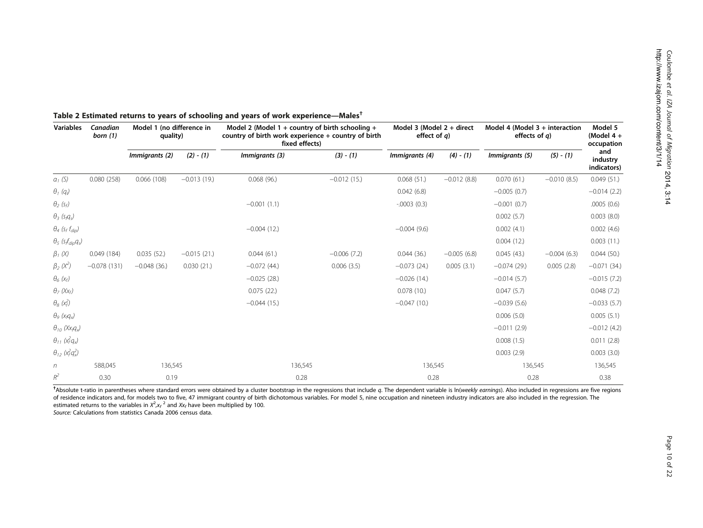<span id="page-9-0"></span>

| Variables                                           | Canadian<br>born $(1)$ | Model 1 (no difference in<br>quality) |              | Model 2 (Model 1 + country of birth schooling +<br>country of birth work experience + country of birth<br>fixed effects) |               | Model 3 (Model 2 + direct<br>effect of $q$ ) |               | Model 4 (Model $3 +$ interaction<br>effects of $q$ ) |               | Model 5<br>(Model $4 +$<br>occupation |
|-----------------------------------------------------|------------------------|---------------------------------------|--------------|--------------------------------------------------------------------------------------------------------------------------|---------------|----------------------------------------------|---------------|------------------------------------------------------|---------------|---------------------------------------|
|                                                     |                        | Immigrants (2)                        | $(2) - (1)$  | Immigrants (3)                                                                                                           | $(3) - (1)$   | Immigrants (4)                               | $(4) - (1)$   | Immigrants (5)                                       | $(5) - (1)$   | and<br>industry<br>indicators)        |
| a <sub>1</sub> (S)                                  | 0.080(258)             | 0.066(108)                            | $-0.013(19)$ | 0.068(96)                                                                                                                | $-0.012(15)$  | 0.068(51)                                    | $-0.012(8.8)$ | 0.070(61)                                            | $-0.010(8.5)$ | 0.049(51)                             |
| $\theta_1$ (q)                                      |                        |                                       |              |                                                                                                                          |               | 0.042(6.8)                                   |               | $-0.005(0.7)$                                        |               | $-0.014(2.2)$                         |
| $\theta_2$ (s <sub>f</sub> )                        |                        |                                       |              | $-0.001(1.1)$                                                                                                            |               | $-.0003(0.3)$                                |               | $-0.001(0.7)$                                        |               | .0005(0.6)                            |
| $\theta_3$ (s <sub>f</sub> $q_s$ )                  |                        |                                       |              |                                                                                                                          |               |                                              |               | 0.002(5.7)                                           |               | 0.003(8.0)                            |
| $\theta_4$ (S <sub>f</sub> f <sub>dip</sub> )       |                        |                                       |              | $-0.004(12)$                                                                                                             |               | $-0.004(9.6)$                                |               | 0.002(4.1)                                           |               | 0.002(4.6)                            |
| $\theta_5$ (s <sub>f</sub> f <sub>dip</sub> $q_s$ ) |                        |                                       |              |                                                                                                                          |               |                                              |               | 0.004(12)                                            |               | 0.003(11)                             |
| $\beta_1(X)$                                        | 0.049(184)             | 0.035(52)                             | $-0.015(21)$ | 0.044(61)                                                                                                                | $-0.006(7.2)$ | 0.044(36)                                    | $-0.005(6.8)$ | 0.045(43)                                            | $-0.004(6.3)$ | 0.044(50)                             |
| $\beta_2$ (X <sup>2</sup> )                         | $-0.078(131)$          | $-0.048(36)$                          | 0.030(21)    | $-0.072(44)$                                                                                                             | 0.006(3.5)    | $-0.073(24)$                                 | 0.005(3.1)    | $-0.074(29)$                                         | 0.005(2.8)    | $-0.071(34)$                          |
| $\theta_6$ (x <sub>f</sub> )                        |                        |                                       |              | $-0.025(28)$                                                                                                             |               | $-0.026(14)$                                 |               | $-0.014(5.7)$                                        |               | $-0.015(7.2)$                         |
| $\theta$ <sub>7</sub> (Xx <sub>f</sub> )            |                        |                                       |              | 0.075(22)                                                                                                                |               | 0.078(10)                                    |               | 0.047(5.7)                                           |               | 0.048(7.2)                            |
| $\theta_8$ (x <sup>2</sup> )                        |                        |                                       |              | $-0.044(15)$                                                                                                             |               | $-0.047(10)$                                 |               | $-0.039(5.6)$                                        |               | $-0.033(5.7)$                         |
| $\theta$ 9 (x $q_{x}$ )                             |                        |                                       |              |                                                                                                                          |               |                                              |               | 0.006(5.0)                                           |               | 0.005(5.1)                            |
| $\theta_{10}$ (Xx <sub>f</sub> q <sub>x</sub> )     |                        |                                       |              |                                                                                                                          |               |                                              |               | $-0.011(2.9)$                                        |               | $-0.012(4.2)$                         |
| $\theta_{11}$ (x <sub>f</sub> q <sub>x</sub> )      |                        |                                       |              |                                                                                                                          |               |                                              |               | 0.008(1.5)                                           |               | 0.011(2.8)                            |

# Table 2 Estimated returns to years of scho

<sup>†</sup>Absolute t-ratio in parentheses where standard errors were obtained by a cluster bootstrap in the regressions that include q. The dependent variable is ln(weekly earnings). Also included in regressions are five regions of residence indicators and, for models two to five, 47 immigrant country of birth dichotomous variables. For model 5, nine occupation and nineteen industry indicators are also included in the regression. The<br>estimated ret

n 588,045 136,545 136,545 136,545 136,545 136,545  $R^2$  0.30 0.19 0.19 0.28 0.28 0.38 0.38 0.38 0.38 0.38 0.38

 $(3.003)(2.9)$  0.003 (2.9) 0.003 (3.0)

 $\theta_1$  (q<sub>i</sub>)

 $\theta_3$  (s<sub>f</sub>q<sub>s</sub>)

 $\theta_5$  (s $f_{dip}q_s$ )

 $\beta_2$  (X<sup>2</sup>)

 $\theta_{12}$  (x $_f^2 q_x^2$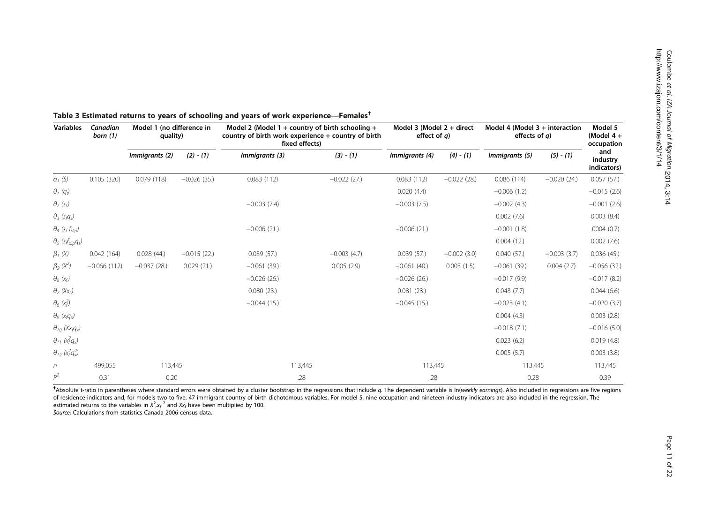| <b>Variables</b>                                |               | Canadian<br>born $(1)$ | Model 1 (no difference in<br>quality) |                |               | Model 3 (Model $2 +$ direct<br>effect of $q$ ) |               | Model 4 (Model $3 +$ interaction<br>effects of $q$ )<br>fixed effects) |               | Model 2 (Model 1 + country of birth schooling +<br>country of birth work experience + country of birth |  | Model 5<br>(Model $4 +$<br>occupation |
|-------------------------------------------------|---------------|------------------------|---------------------------------------|----------------|---------------|------------------------------------------------|---------------|------------------------------------------------------------------------|---------------|--------------------------------------------------------------------------------------------------------|--|---------------------------------------|
|                                                 |               | Immigrants (2)         | $(2) - (1)$                           | Immigrants (3) | $(3) - (1)$   | Immigrants (4)                                 | $(4) - (1)$   | Immigrants (5)                                                         | $(5) - (1)$   | and<br>industry<br>indicators)                                                                         |  |                                       |
| $a_1(S)$                                        | 0.105(320)    | 0.079(118)             | $-0.026(35)$                          | 0.083(112)     | $-0.022(27)$  | 0.083(112)                                     | $-0.022(28)$  | 0.086(114)                                                             | $-0.020(24)$  | 0.057(57)                                                                                              |  |                                       |
| $\theta_1$ (q)                                  |               |                        |                                       |                |               | 0.020(4.4)                                     |               | $-0.006(1.2)$                                                          |               | $-0.015(2.6)$                                                                                          |  |                                       |
| $\theta_2$ (s <sub>f</sub> )                    |               |                        |                                       | $-0.003(7.4)$  |               | $-0.003(7.5)$                                  |               | $-0.002(4.3)$                                                          |               | $-0.001(2.6)$                                                                                          |  |                                       |
| $\theta_3$ (s <sub>f</sub> q <sub>s</sub> )     |               |                        |                                       |                |               |                                                |               | 0.002(7.6)                                                             |               | 0.003(8.4)                                                                                             |  |                                       |
| $\theta_4$ (S <sub>f</sub> f <sub>dip</sub> )   |               |                        |                                       | $-0.006(21)$   |               | $-0.006(21)$                                   |               | $-0.001(1.8)$                                                          |               | .0004(0.7)                                                                                             |  |                                       |
| $\theta_5$ (Sfdip $q_s$ )                       |               |                        |                                       |                |               |                                                |               | 0.004(12)                                                              |               | 0.002(7.6)                                                                                             |  |                                       |
| $\beta_1(X)$                                    | 0.042(164)    | 0.028(44)              | $-0.015(22)$                          | 0.039(57)      | $-0.003(4.7)$ | 0.039(57)                                      | $-0.002(3.0)$ | 0.040(57)                                                              | $-0.003(3.7)$ | 0.036(45)                                                                                              |  |                                       |
| $\beta_2$ (X <sup>2</sup> )                     | $-0.066(112)$ | $-0.037(28)$           | 0.029(21.)                            | $-0.061(39)$   | 0.005(2.9)    | $-0.061(40)$                                   | 0.003(1.5)    | $-0.061(39)$                                                           | 0.004(2.7)    | $-0.056(32)$                                                                                           |  |                                       |
| $\theta_6(x_f)$                                 |               |                        |                                       | $-0.026(26)$   |               | $-0.026(26)$                                   |               | $-0.017(9.9)$                                                          |               | $-0.017(8.2)$                                                                                          |  |                                       |
| $\theta$ <sub>7</sub> (Xx <sub>f</sub> )        |               |                        |                                       | 0.080(23.)     |               | 0.081(23)                                      |               | 0.043(7.7)                                                             |               | 0.044(6.6)                                                                                             |  |                                       |
| $\theta_8$ (x <sup>2</sup> )                    |               |                        |                                       | $-0.044(15)$   |               | $-0.045(15)$                                   |               | $-0.023(4.1)$                                                          |               | $-0.020(3.7)$                                                                                          |  |                                       |
| $\theta_9$ (x <sub>f</sub> q <sub>x</sub> )     |               |                        |                                       |                |               |                                                |               | 0.004(4.3)                                                             |               | 0.003(2.8)                                                                                             |  |                                       |
| $\theta_{10}$ (Xx <sub>f</sub> q <sub>x</sub> ) |               |                        |                                       |                |               |                                                |               | $-0.018(7.1)$                                                          |               | $-0.016(5.0)$                                                                                          |  |                                       |
| $\theta_{11}$ ( $x_f^2 q_x$ )                   |               |                        |                                       |                |               |                                                |               | 0.023(6.2)                                                             |               | 0.019(4.8)                                                                                             |  |                                       |
| $\theta_{12}$ ( $\chi_f^2 q_x^2$ )              |               |                        |                                       |                |               |                                                |               | 0.005(5.7)                                                             |               | 0.003(3.8)                                                                                             |  |                                       |
| n                                               | 499,055       | 113,445                |                                       | 113,445        |               | 113,445                                        |               | 113,445                                                                |               | 113,445                                                                                                |  |                                       |
| $R^2$                                           | 0.31          | 0.20                   |                                       | .28            |               | .28                                            |               | 0.28                                                                   |               | 0.39                                                                                                   |  |                                       |

<span id="page-10-0"></span>

| Table 3 Estimated returns to years of schooling and years of work experience—Females <sup>†</sup> |  |  |  |
|---------------------------------------------------------------------------------------------------|--|--|--|
|---------------------------------------------------------------------------------------------------|--|--|--|

<sup>†</sup>Absolute t-ratio in parentheses where standard errors were obtained by a cluster bootstrap in the regressions that include q. The dependent variable is ln(weekly earnings). Also included in regressions are five regions of residence indicators and, for models two to five, 47 immigrant country of birth dichotomous variables. For model 5, nine occupation and nineteen industry indicators are also included in the regression. The<br>estimated ret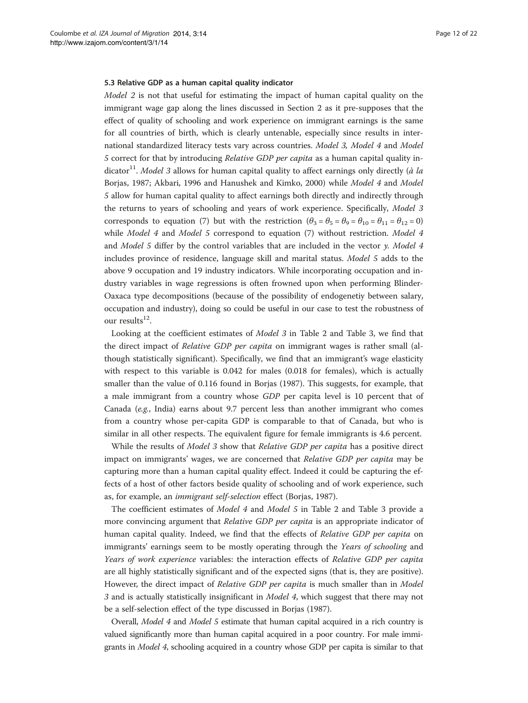#### 5.3 Relative GDP as a human capital quality indicator

Model 2 is not that useful for estimating the impact of human capital quality on the immigrant wage gap along the lines discussed in Section [2](#page-2-0) as it pre-supposes that the effect of quality of schooling and work experience on immigrant earnings is the same for all countries of birth, which is clearly untenable, especially since results in international standardized literacy tests vary across countries. Model 3, Model 4 and Model 5 correct for that by introducing Relative GDP per capita as a human capital quality indicator<sup>11</sup>. Model 3 allows for human capital quality to affect earnings only directly ( $\dot{a}$  la Borjas, [1987](#page-20-0); Akbari, [1996](#page-20-0) and Hanushek and Kimko, [2000](#page-21-0)) while Model 4 and Model 5 allow for human capital quality to affect earnings both directly and indirectly through the returns to years of schooling and years of work experience. Specifically, Model 3 corresponds to equation [\(7](#page-6-0)) but with the restriction  $(\theta_3 = \theta_5 = \theta_9 = \theta_{10} = \theta_{11} = \theta_{12} = 0)$ while Model 4 and Model 5 correspond to equation ([7](#page-6-0)) without restriction. Model 4 and Model 5 differ by the control variables that are included in the vector  $\gamma$ . Model 4 includes province of residence, language skill and marital status. Model 5 adds to the above 9 occupation and 19 industry indicators. While incorporating occupation and industry variables in wage regressions is often frowned upon when performing Blinder-Oaxaca type decompositions (because of the possibility of endogenetiy between salary, occupation and industry), doing so could be useful in our case to test the robustness of our results $^{12}$ .

Looking at the coefficient estimates of Model 3 in Table [2](#page-9-0) and Table [3](#page-10-0), we find that the direct impact of Relative GDP per capita on immigrant wages is rather small (although statistically significant). Specifically, we find that an immigrant's wage elasticity with respect to this variable is 0.042 for males (0.018 for females), which is actually smaller than the value of 0.116 found in Borjas ([1987](#page-20-0)). This suggests, for example, that a male immigrant from a country whose GDP per capita level is 10 percent that of Canada ( $e.g.,$  India) earns about 9.7 percent less than another immigrant who comes from a country whose per-capita GDP is comparable to that of Canada, but who is similar in all other respects. The equivalent figure for female immigrants is 4.6 percent.

While the results of *Model 3* show that *Relative GDP per capita* has a positive direct impact on immigrants' wages, we are concerned that Relative GDP per capita may be capturing more than a human capital quality effect. Indeed it could be capturing the effects of a host of other factors beside quality of schooling and of work experience, such as, for example, an immigrant self-selection effect (Borjas, [1987\)](#page-20-0).

The coefficient estimates of *Model 4* and *Model 5* in Table [2](#page-9-0) and Table [3](#page-10-0) provide a more convincing argument that *Relative GDP per capita* is an appropriate indicator of human capital quality. Indeed, we find that the effects of Relative GDP per capita on immigrants' earnings seem to be mostly operating through the Years of schooling and Years of work experience variables: the interaction effects of Relative GDP per capita are all highly statistically significant and of the expected signs (that is, they are positive). However, the direct impact of Relative GDP per capita is much smaller than in Model 3 and is actually statistically insignificant in Model 4, which suggest that there may not be a self-selection effect of the type discussed in Borjas [\(1987\)](#page-20-0).

Overall, Model 4 and Model 5 estimate that human capital acquired in a rich country is valued significantly more than human capital acquired in a poor country. For male immigrants in Model 4, schooling acquired in a country whose GDP per capita is similar to that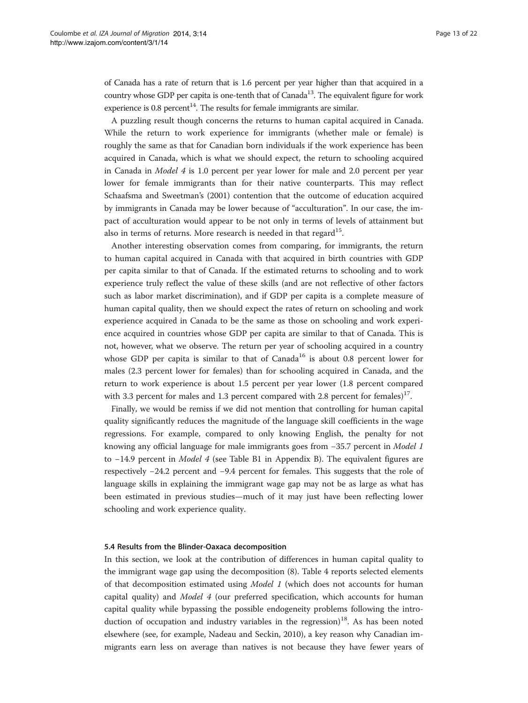of Canada has a rate of return that is 1.6 percent per year higher than that acquired in a country whose GDP per capita is one-tenth that of  $Canada<sup>13</sup>$ . The equivalent figure for work experience is 0.8 percent<sup>14</sup>. The results for female immigrants are similar.

A puzzling result though concerns the returns to human capital acquired in Canada. While the return to work experience for immigrants (whether male or female) is roughly the same as that for Canadian born individuals if the work experience has been acquired in Canada, which is what we should expect, the return to schooling acquired in Canada in Model 4 is 1.0 percent per year lower for male and 2.0 percent per year lower for female immigrants than for their native counterparts. This may reflect Schaafsma and Sweetman's ([2001](#page-21-0)) contention that the outcome of education acquired by immigrants in Canada may be lower because of "acculturation". In our case, the impact of acculturation would appear to be not only in terms of levels of attainment but also in terms of returns. More research is needed in that regard<sup>15</sup>.

Another interesting observation comes from comparing, for immigrants, the return to human capital acquired in Canada with that acquired in birth countries with GDP per capita similar to that of Canada. If the estimated returns to schooling and to work experience truly reflect the value of these skills (and are not reflective of other factors such as labor market discrimination), and if GDP per capita is a complete measure of human capital quality, then we should expect the rates of return on schooling and work experience acquired in Canada to be the same as those on schooling and work experience acquired in countries whose GDP per capita are similar to that of Canada. This is not, however, what we observe. The return per year of schooling acquired in a country whose GDP per capita is similar to that of Canada<sup>16</sup> is about 0.8 percent lower for males (2.3 percent lower for females) than for schooling acquired in Canada, and the return to work experience is about 1.5 percent per year lower (1.8 percent compared with 3.3 percent for males and 1.3 percent compared with 2.8 percent for females)<sup>17</sup>.

Finally, we would be remiss if we did not mention that controlling for human capital quality significantly reduces the magnitude of the language skill coefficients in the wage regressions. For example, compared to only knowing English, the penalty for not knowing any official language for male immigrants goes from −35.7 percent in Model 1 to −14.9 percent in Model 4 (see Table B1 in [Appendix B\)](#page-19-0). The equivalent figures are respectively −24.2 percent and −9.4 percent for females. This suggests that the role of language skills in explaining the immigrant wage gap may not be as large as what has been estimated in previous studies—much of it may just have been reflecting lower schooling and work experience quality.

# 5.4 Results from the Blinder-Oaxaca decomposition

In this section, we look at the contribution of differences in human capital quality to the immigrant wage gap using the decomposition [\(8](#page-6-0)). Table [4](#page-13-0) reports selected elements of that decomposition estimated using Model 1 (which does not accounts for human capital quality) and Model 4 (our preferred specification, which accounts for human capital quality while bypassing the possible endogeneity problems following the introduction of occupation and industry variables in the regression)<sup>18</sup>. As has been noted elsewhere (see, for example, Nadeau and Seckin, [2010](#page-21-0)), a key reason why Canadian immigrants earn less on average than natives is not because they have fewer years of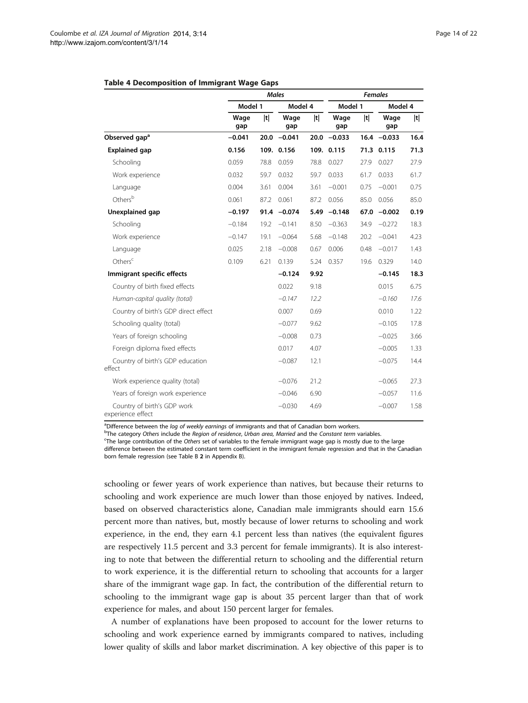#### <span id="page-13-0"></span>Table 4 Decomposition of Immigrant Wage Gaps

|                                                  |             |      | <b>Males</b>  |      | <b>Females</b> |      |               |      |
|--------------------------------------------------|-------------|------|---------------|------|----------------|------|---------------|------|
|                                                  | Model 1     |      | Model 4       |      | Model 1        |      | Model 4       |      |
|                                                  | Wage<br>gap | t    | Wage<br>gap   | t    | Wage<br>gap    | t    | Wage<br>gap   | t    |
| Observed gap <sup>a</sup>                        | $-0.041$    | 20.0 | $-0.041$      |      | $20.0 -0.033$  |      | $16.4 -0.033$ | 16.4 |
| <b>Explained gap</b>                             | 0.156       |      | 109. 0.156    |      | 109. 0.115     |      | 71.3 0.115    | 71.3 |
| Schooling                                        | 0.059       | 78.8 | 0.059         | 78.8 | 0.027          | 27.9 | 0.027         | 27.9 |
| Work experience                                  | 0.032       | 59.7 | 0.032         | 59.7 | 0.033          | 61.7 | 0.033         | 61.7 |
| Language                                         | 0.004       | 3.61 | 0.004         | 3.61 | $-0.001$       | 0.75 | $-0.001$      | 0.75 |
| Othersb                                          | 0.061       | 87.2 | 0.061         | 87.2 | 0.056          | 85.0 | 0.056         | 85.0 |
| Unexplained gap                                  | $-0.197$    |      | $91.4 -0.074$ |      | $5.49 - 0.148$ | 67.0 | $-0.002$      | 0.19 |
| Schooling                                        | $-0.184$    | 19.2 | $-0.141$      | 8.50 | $-0.363$       | 34.9 | $-0.272$      | 18.3 |
| Work experience                                  | $-0.147$    | 19.1 | $-0.064$      | 5.68 | $-0.148$       | 20.2 | $-0.041$      | 4.23 |
| Language                                         | 0.025       | 2.18 | $-0.008$      | 0.67 | 0.006          | 0.48 | $-0.017$      | 1.43 |
| Others <sup>c</sup>                              | 0.109       | 6.21 | 0.139         | 5.24 | 0.357          | 19.6 | 0.329         | 14.0 |
| Immigrant specific effects                       |             |      | $-0.124$      | 9.92 |                |      | $-0.145$      | 18.3 |
| Country of birth fixed effects                   |             |      | 0.022         | 9.18 |                |      | 0.015         | 6.75 |
| Human-capital quality (total)                    |             |      | $-0.147$      | 12.2 |                |      | $-0.160$      | 17.6 |
| Country of birth's GDP direct effect             |             |      | 0.007         | 0.69 |                |      | 0.010         | 1.22 |
| Schooling quality (total)                        |             |      | $-0.077$      | 9.62 |                |      | $-0.105$      | 17.8 |
| Years of foreign schooling                       |             |      | $-0.008$      | 0.73 |                |      | $-0.025$      | 3.66 |
| Foreign diploma fixed effects                    |             |      | 0.017         | 4.07 |                |      | $-0.005$      | 1.33 |
| Country of birth's GDP education<br>effect       |             |      | $-0.087$      | 12.1 |                |      | $-0.075$      | 14.4 |
| Work experience quality (total)                  |             |      | $-0.076$      | 21.2 |                |      | $-0.065$      | 27.3 |
| Years of foreign work experience                 |             |      | $-0.046$      | 6.90 |                |      | $-0.057$      | 11.6 |
| Country of birth's GDP work<br>experience effect |             |      | $-0.030$      | 4.69 |                |      | $-0.007$      | 1.58 |

<sup>a</sup> Difference between the *log of weekly earnings* of immigrants and that of Canadian born workers.<br><sup>b</sup>The category Others include the *Begion of residence, Uthan gree, Married* and the Constant term w

<sup>b</sup>The category Others include the Region of residence, Urban area, Married and the Constant term variables.

<sup>c</sup>The large contribution of the Others set of variables to the female immigrant wage gap is mostly due to the large difference between the estimated constant term coefficient in the immigrant female regression and that in the Canadian born female regression (see Table B [2](#page-9-0) in Appendix B).

schooling or fewer years of work experience than natives, but because their returns to schooling and work experience are much lower than those enjoyed by natives. Indeed, based on observed characteristics alone, Canadian male immigrants should earn 15.6 percent more than natives, but, mostly because of lower returns to schooling and work experience, in the end, they earn 4.1 percent less than natives (the equivalent figures are respectively 11.5 percent and 3.3 percent for female immigrants). It is also interesting to note that between the differential return to schooling and the differential return to work experience, it is the differential return to schooling that accounts for a larger share of the immigrant wage gap. In fact, the contribution of the differential return to schooling to the immigrant wage gap is about 35 percent larger than that of work experience for males, and about 150 percent larger for females.

A number of explanations have been proposed to account for the lower returns to schooling and work experience earned by immigrants compared to natives, including lower quality of skills and labor market discrimination. A key objective of this paper is to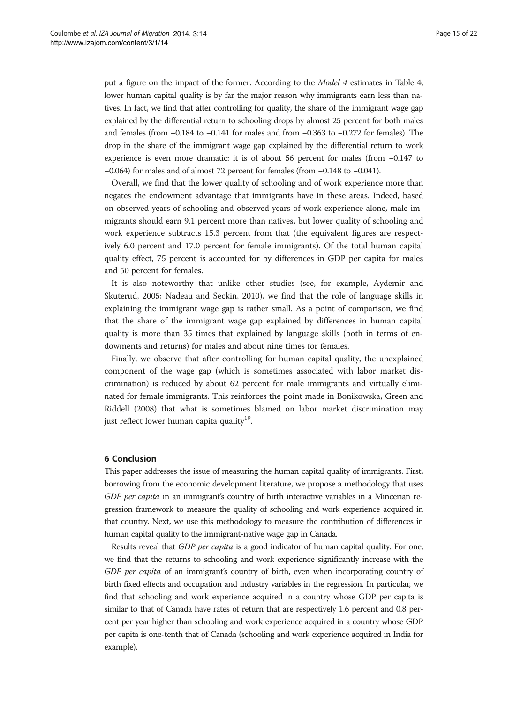put a figure on the impact of the former. According to the Model 4 estimates in Table [4](#page-13-0), lower human capital quality is by far the major reason why immigrants earn less than natives. In fact, we find that after controlling for quality, the share of the immigrant wage gap explained by the differential return to schooling drops by almost 25 percent for both males and females (from −0.184 to −0.141 for males and from −0.363 to −0.272 for females). The drop in the share of the immigrant wage gap explained by the differential return to work experience is even more dramatic: it is of about 56 percent for males (from −0.147 to −0.064) for males and of almost 72 percent for females (from −0.148 to −0.041).

Overall, we find that the lower quality of schooling and of work experience more than negates the endowment advantage that immigrants have in these areas. Indeed, based on observed years of schooling and observed years of work experience alone, male immigrants should earn 9.1 percent more than natives, but lower quality of schooling and work experience subtracts 15.3 percent from that (the equivalent figures are respectively 6.0 percent and 17.0 percent for female immigrants). Of the total human capital quality effect, 75 percent is accounted for by differences in GDP per capita for males and 50 percent for females.

It is also noteworthy that unlike other studies (see, for example, Aydemir and Skuterud, [2005](#page-20-0); Nadeau and Seckin, [2010\)](#page-21-0), we find that the role of language skills in explaining the immigrant wage gap is rather small. As a point of comparison, we find that the share of the immigrant wage gap explained by differences in human capital quality is more than 35 times that explained by language skills (both in terms of endowments and returns) for males and about nine times for females.

Finally, we observe that after controlling for human capital quality, the unexplained component of the wage gap (which is sometimes associated with labor market discrimination) is reduced by about 62 percent for male immigrants and virtually eliminated for female immigrants. This reinforces the point made in Bonikowska, Green and Riddell [\(2008\)](#page-20-0) that what is sometimes blamed on labor market discrimination may just reflect lower human capita quality $19$ .

## 6 Conclusion

This paper addresses the issue of measuring the human capital quality of immigrants. First, borrowing from the economic development literature, we propose a methodology that uses GDP per capita in an immigrant's country of birth interactive variables in a Mincerian regression framework to measure the quality of schooling and work experience acquired in that country. Next, we use this methodology to measure the contribution of differences in human capital quality to the immigrant-native wage gap in Canada.

Results reveal that GDP per capita is a good indicator of human capital quality. For one, we find that the returns to schooling and work experience significantly increase with the GDP per capita of an immigrant's country of birth, even when incorporating country of birth fixed effects and occupation and industry variables in the regression. In particular, we find that schooling and work experience acquired in a country whose GDP per capita is similar to that of Canada have rates of return that are respectively 1.6 percent and 0.8 percent per year higher than schooling and work experience acquired in a country whose GDP per capita is one-tenth that of Canada (schooling and work experience acquired in India for example).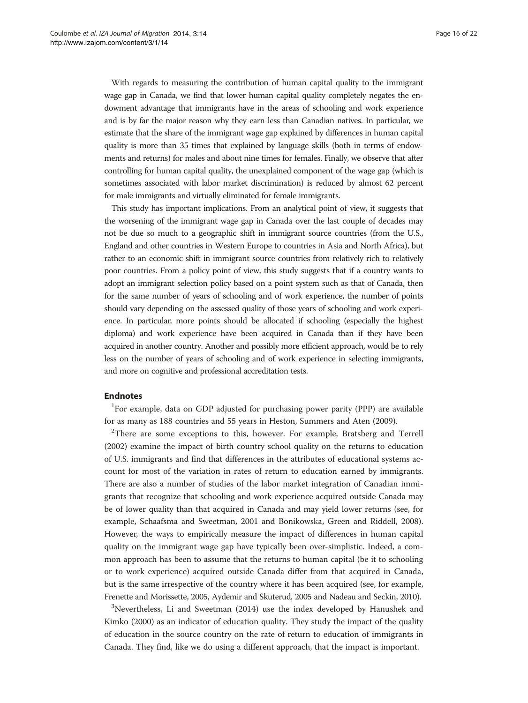With regards to measuring the contribution of human capital quality to the immigrant wage gap in Canada, we find that lower human capital quality completely negates the endowment advantage that immigrants have in the areas of schooling and work experience and is by far the major reason why they earn less than Canadian natives. In particular, we estimate that the share of the immigrant wage gap explained by differences in human capital quality is more than 35 times that explained by language skills (both in terms of endowments and returns) for males and about nine times for females. Finally, we observe that after controlling for human capital quality, the unexplained component of the wage gap (which is sometimes associated with labor market discrimination) is reduced by almost 62 percent for male immigrants and virtually eliminated for female immigrants.

This study has important implications. From an analytical point of view, it suggests that the worsening of the immigrant wage gap in Canada over the last couple of decades may not be due so much to a geographic shift in immigrant source countries (from the U.S., England and other countries in Western Europe to countries in Asia and North Africa), but rather to an economic shift in immigrant source countries from relatively rich to relatively poor countries. From a policy point of view, this study suggests that if a country wants to adopt an immigrant selection policy based on a point system such as that of Canada, then for the same number of years of schooling and of work experience, the number of points should vary depending on the assessed quality of those years of schooling and work experience. In particular, more points should be allocated if schooling (especially the highest diploma) and work experience have been acquired in Canada than if they have been acquired in another country. Another and possibly more efficient approach, would be to rely less on the number of years of schooling and of work experience in selecting immigrants, and more on cognitive and professional accreditation tests.

# Endnotes

<sup>1</sup>For example, data on GDP adjusted for purchasing power parity (PPP) are available for as many as 188 countries and 55 years in Heston, Summers and Aten ([2009](#page-21-0)).

 $2$ There are some exceptions to this, however. For example, Bratsberg and Terrell ([2002](#page-20-0)) examine the impact of birth country school quality on the returns to education of U.S. immigrants and find that differences in the attributes of educational systems account for most of the variation in rates of return to education earned by immigrants. There are also a number of studies of the labor market integration of Canadian immigrants that recognize that schooling and work experience acquired outside Canada may be of lower quality than that acquired in Canada and may yield lower returns (see, for example, Schaafsma and Sweetman, [2001](#page-21-0) and Bonikowska, Green and Riddell, [2008](#page-20-0)). However, the ways to empirically measure the impact of differences in human capital quality on the immigrant wage gap have typically been over-simplistic. Indeed, a common approach has been to assume that the returns to human capital (be it to schooling or to work experience) acquired outside Canada differ from that acquired in Canada, but is the same irrespective of the country where it has been acquired (see, for example, Frenette and Morissette, [2005](#page-21-0), Aydemir and Skuterud, [2005](#page-20-0) and Nadeau and Seckin, [2010](#page-21-0)).

<sup>3</sup>Nevertheless, Li and Sweetman ([2014\)](#page-21-0) use the index developed by Hanushek and Kimko [\(2000\)](#page-21-0) as an indicator of education quality. They study the impact of the quality of education in the source country on the rate of return to education of immigrants in Canada. They find, like we do using a different approach, that the impact is important.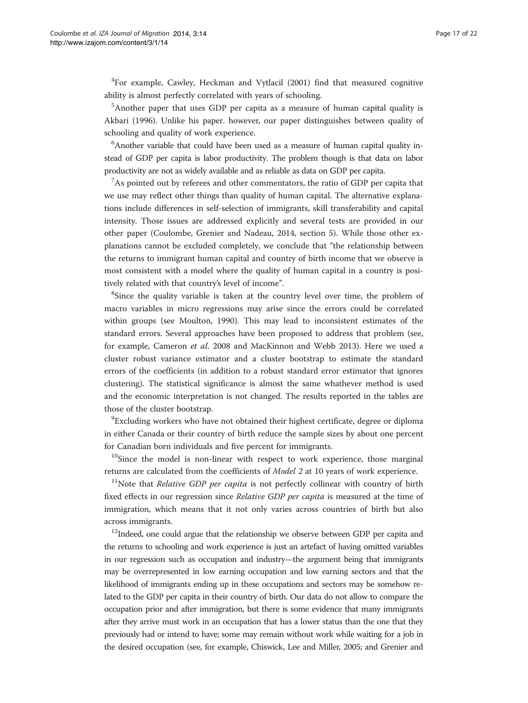<sup>4</sup>For example, Cawley, Heckman and Vytlacil ([2001](#page-21-0)) find that measured cognitive ability is almost perfectly correlated with years of schooling.

5 Another paper that uses GDP per capita as a measure of human capital quality is Akbari ([1996](#page-20-0)). Unlike his paper. however, our paper distinguishes between quality of schooling and quality of work experience.

<sup>6</sup>Another variable that could have been used as a measure of human capital quality instead of GDP per capita is labor productivity. The problem though is that data on labor productivity are not as widely available and as reliable as data on GDP per capita.

 $7$ As pointed out by referees and other commentators, the ratio of GDP per capita that we use may reflect other things than quality of human capital. The alternative explanations include differences in self-selection of immigrants, skill transferability and capital intensity. Those issues are addressed explicitly and several tests are provided in our other paper (Coulombe, Grenier and Nadeau, [2014](#page-21-0), section [5](#page-7-0)). While those other explanations cannot be excluded completely, we conclude that "the relationship between the returns to immigrant human capital and country of birth income that we observe is most consistent with a model where the quality of human capital in a country is positively related with that country's level of income".

<sup>8</sup>Since the quality variable is taken at the country level over time, the problem of macro variables in micro regressions may arise since the errors could be correlated within groups (see Moulton, [1990\)](#page-21-0). This may lead to inconsistent estimates of the standard errors. Several approaches have been proposed to address that problem (see, for example, Cameron et al. [2008](#page-21-0) and MacKinnon and Webb [2013](#page-21-0)). Here we used a cluster robust variance estimator and a cluster bootstrap to estimate the standard errors of the coefficients (in addition to a robust standard error estimator that ignores clustering). The statistical significance is almost the same whathever method is used and the economic interpretation is not changed. The results reported in the tables are those of the cluster bootstrap.

<sup>9</sup>Excluding workers who have not obtained their highest certificate, degree or diploma in either Canada or their country of birth reduce the sample sizes by about one percent for Canadian born individuals and five percent for immigrants.

<sup>10</sup>Since the model is non-linear with respect to work experience, those marginal returns are calculated from the coefficients of Model 2 at 10 years of work experience.

 $11$ Note that *Relative GDP per capita* is not perfectly collinear with country of birth fixed effects in our regression since Relative GDP per capita is measured at the time of immigration, which means that it not only varies across countries of birth but also across immigrants.

 $12$ Indeed, one could argue that the relationship we observe between GDP per capita and the returns to schooling and work experience is just an artefact of having omitted variables in our regression such as occupation and industry—the argument being that immigrants may be overrepresented in low earning occupation and low earning sectors and that the likelihood of immigrants ending up in these occupations and sectors may be somehow related to the GDP per capita in their country of birth. Our data do not allow to compare the occupation prior and after immigration, but there is some evidence that many immigrants after they arrive must work in an occupation that has a lower status than the one that they previously had or intend to have; some may remain without work while waiting for a job in the desired occupation (see, for example, Chiswick, Lee and Miller, [2005;](#page-21-0) and Grenier and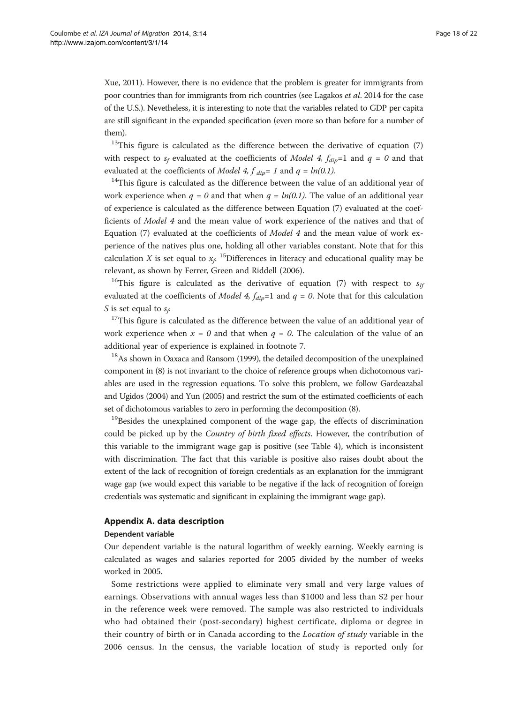<span id="page-17-0"></span>Xue, [2011](#page-21-0)). However, there is no evidence that the problem is greater for immigrants from poor countries than for immigrants from rich countries (see Lagakos et al. [2014](#page-21-0) for the case of the U.S.). Nevetheless, it is interesting to note that the variables related to GDP per capita are still significant in the expanded specification (even more so than before for a number of them).

 $13$ This figure is calculated as the difference between the derivative of equation ([7](#page-6-0)) with respect to  $s_f$  evaluated at the coefficients of *Model 4,*  $f_{div}=1$  and  $q=0$  and that evaluated at the coefficients of *Model 4, f*  $_{dip} = 1$  and  $q = ln(0.1)$ .

 $14$ This figure is calculated as the difference between the value of an additional year of work experience when  $q = 0$  and that when  $q = ln(0.1)$ . The value of an additional year of experience is calculated as the difference between Equation [\(7](#page-6-0)) evaluated at the coefficients of Model 4 and the mean value of work experience of the natives and that of Equation [\(7](#page-6-0)) evaluated at the coefficients of *Model 4* and the mean value of work experience of the natives plus one, holding all other variables constant. Note that for this calculation X is set equal to  $x_f$ . <sup>15</sup>Differences in literacy and educational quality may be relevant, as shown by Ferrer, Green and Riddell ([2006](#page-21-0)).

<sup>16</sup>This figure is calculated as the derivative of equation ([7\)](#page-6-0) with respect to  $s_{\text{lf}}$ evaluated at the coefficients of *Model 4*,  $f_{dip}$ =1 and  $q = 0$ . Note that for this calculation S is set equal to  $s_f$ .

 $17$ This figure is calculated as the difference between the value of an additional year of work experience when  $x=0$  and that when  $q=0$ . The calculation of the value of an additional year of experience is explained in footnote 7.

<sup>18</sup>As shown in Oaxaca and Ransom [\(1999](#page-21-0)), the detailed decomposition of the unexplained component in [\(8](#page-6-0)) is not invariant to the choice of reference groups when dichotomous variables are used in the regression equations. To solve this problem, we follow Gardeazabal and Ugidos ([2004\)](#page-21-0) and Yun [\(2005](#page-21-0)) and restrict the sum of the estimated coefficients of each set of dichotomous variables to zero in performing the decomposition ([8](#page-6-0)).

<sup>19</sup>Besides the unexplained component of the wage gap, the effects of discrimination could be picked up by the Country of birth fixed effects. However, the contribution of this variable to the immigrant wage gap is positive (see Table [4\)](#page-13-0), which is inconsistent with discrimination. The fact that this variable is positive also raises doubt about the extent of the lack of recognition of foreign credentials as an explanation for the immigrant wage gap (we would expect this variable to be negative if the lack of recognition of foreign credentials was systematic and significant in explaining the immigrant wage gap).

#### Appendix A. data description

# Dependent variable

Our dependent variable is the natural logarithm of weekly earning. Weekly earning is calculated as wages and salaries reported for 2005 divided by the number of weeks worked in 2005.

Some restrictions were applied to eliminate very small and very large values of earnings. Observations with annual wages less than \$1000 and less than \$2 per hour in the reference week were removed. The sample was also restricted to individuals who had obtained their (post-secondary) highest certificate, diploma or degree in their country of birth or in Canada according to the Location of study variable in the 2006 census. In the census, the variable location of study is reported only for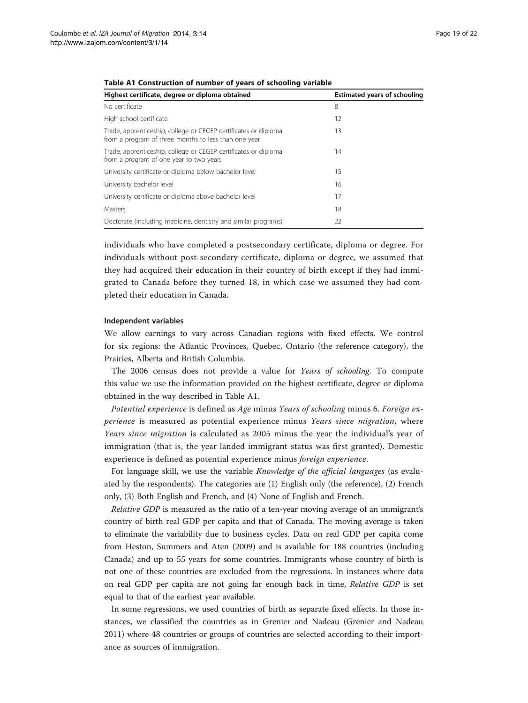| Highest certificate, degree or diploma obtained                                                                         | <b>Estimated years of schooling</b> |
|-------------------------------------------------------------------------------------------------------------------------|-------------------------------------|
| No certificate                                                                                                          | 8                                   |
| High school certificate                                                                                                 | 12                                  |
| Trade, apprenticeship, college or CEGEP certificates or diploma<br>from a program of three months to less than one year | 13                                  |
| Trade, apprenticeship, college or CEGEP certificates or diploma<br>from a program of one year to two years              | 14                                  |
| University certificate or diploma below bachelor level                                                                  | 15                                  |
| University bachelor level                                                                                               | 16                                  |
| University certificate or diploma above bachelor level                                                                  | 17                                  |
| Masters                                                                                                                 | 18                                  |
| Doctorate (including medicine, dentistry and similar programs)                                                          | 22                                  |

Table A1 Construction of number of years of schooling variable

individuals who have completed a postsecondary certificate, diploma or degree. For individuals without post-secondary certificate, diploma or degree, we assumed that they had acquired their education in their country of birth except if they had immigrated to Canada before they turned 18, in which case we assumed they had completed their education in Canada.

# Independent variables

We allow earnings to vary across Canadian regions with fixed effects. We control for six regions: the Atlantic Provinces, Quebec, Ontario (the reference category), the Prairies, Alberta and British Columbia.

The 2006 census does not provide a value for Years of schooling. To compute this value we use the information provided on the highest certificate, degree or diploma obtained in the way described in Table A1.

Potential experience is defined as Age minus Years of schooling minus 6. Foreign experience is measured as potential experience minus Years since migration, where Years since migration is calculated as 2005 minus the year the individual's year of immigration (that is, the year landed immigrant status was first granted). Domestic experience is defined as potential experience minus foreign experience.

For language skill, we use the variable Knowledge of the official languages (as evaluated by the respondents). The categories are (1) English only (the reference), (2) French only, (3) Both English and French, and (4) None of English and French.

Relative GDP is measured as the ratio of a ten-year moving average of an immigrant's country of birth real GDP per capita and that of Canada. The moving average is taken to eliminate the variability due to business cycles. Data on real GDP per capita come from Heston, Summers and Aten (2009) and is available for 188 countries (including Canada) and up to 55 years for some countries. Immigrants whose country of birth is not one of these countries are excluded from the regressions. In instances where data on real GDP per capita are not going far enough back in time, Relative GDP is set equal to that of the earliest year available.

In some regressions, we used countries of birth as separate fixed effects. In those instances, we classified the countries as in Grenier and Nadeau (Grenier and Nadeau [2011](#page-21-0)) where 48 countries or groups of countries are selected according to their importance as sources of immigration.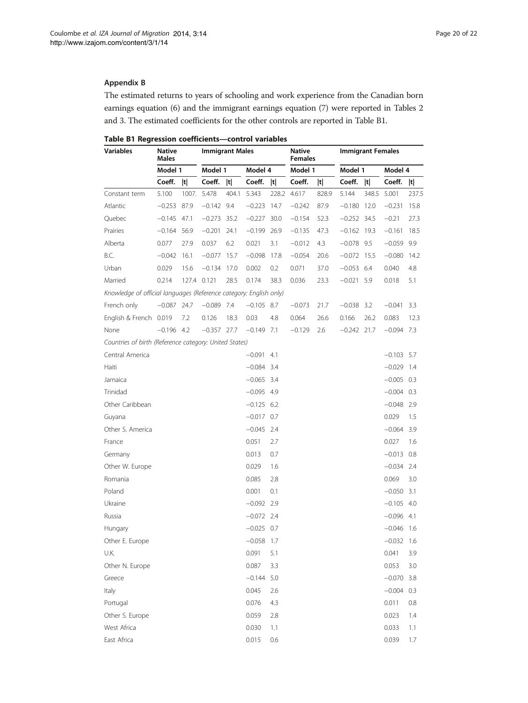# <span id="page-19-0"></span>Appendix B

The estimated returns to years of schooling and work experience from the Canadian born earnings equation [\(6](#page-5-0)) and the immigrant earnings equation ([7\)](#page-6-0) were reported in Tables [2](#page-9-0) and [3.](#page-10-0) The estimated coefficients for the other controls are reported in Table B1.

Table B1 Regression coefficients—control variables

| Variables                                                          | <b>Native</b><br><b>Males</b><br>Model 1 |       | <b>Immigrant Males</b> |        |              | <b>Native</b><br><b>Females</b> |          | <b>Immigrant Females</b> |               |       |              |       |
|--------------------------------------------------------------------|------------------------------------------|-------|------------------------|--------|--------------|---------------------------------|----------|--------------------------|---------------|-------|--------------|-------|
|                                                                    |                                          |       | Model 1                |        | Model 4      |                                 | Model 1  |                          | Model 1       |       | Model 4      |       |
|                                                                    | Coeff.                                   | t     | Coeff.                 | t      | Coeff.       | t                               | Coeff.   | t                        | Coeff.        | t     | Coeff.       | t     |
| Constant term                                                      | 5.100                                    | 1007. | 5.478                  | 404.1  | 5.343        | 228.2                           | 4.617    | 828.9                    | 5.144         | 348.5 | 5.001        | 237.5 |
| Atlantic                                                           | $-0.253$                                 | 87.9  | $-0.142$ 9.4           |        | $-0.223$     | 14.7                            | $-0.242$ | 87.9                     | $-0.180$ 12.0 |       | $-0.231$     | 15.8  |
| Quebec                                                             | $-0.145$ 47.1                            |       | $-0.273$ 35.2          |        | $-0.227$     | 30.0                            | $-0.154$ | 52.3                     | $-0.252$ 34.5 |       | $-0.21$      | 27.3  |
| Prairies                                                           | $-0.164$                                 | 56.9  | $-0.201$ 24.1          |        | $-0.199$     | 26.9                            | $-0.135$ | 47.3                     | $-0.162$ 19.3 |       | $-0.161$     | 18.5  |
| Alberta                                                            | 0.077                                    | 27.9  | 0.037                  | 6.2    | 0.021        | 3.1                             | $-0.012$ | 4.3                      | $-0.078$ 9.5  |       | $-0.059$     | 9.9   |
| B.C.                                                               | $-0.042$                                 | 16.1  | $-0.077$               | 15.7   | $-0.098$     | 17.8                            | $-0.054$ | 20.6                     | $-0.072$ 15.5 |       | $-0.080$     | 14.2  |
| Urban                                                              | 0.029                                    | 15.6  | $-0.134$               | - 17.0 | 0.002        | 0.2                             | 0.071    | 37.0                     | $-0.053$ 6.4  |       | 0.040        | 4.8   |
| Married                                                            | 0.214                                    |       | 127.4 0.121            | 28.5   | 0.174        | 38.3                            | 0.036    | 23.3                     | $-0.021$ 5.9  |       | 0.018        | 5.1   |
| Knowledge of official languages (Reference category: English only) |                                          |       |                        |        |              |                                 |          |                          |               |       |              |       |
| French only                                                        | $-0.087$ 24.7                            |       | $-0.089$ 7.4           |        | $-0.105$ 8.7 |                                 | $-0.073$ | 21.7                     | $-0.038$ 3.2  |       | $-0.041$     | 3.3   |
| English & French 0.019                                             |                                          | 7.2   | 0.126                  | 18.3   | 0.03         | 4.8                             | 0.064    | 26.6                     | 0.166         | 26.2  | 0.083        | 12.3  |
| None                                                               | $-0.196$ 4.2                             |       | $-0.357$ 27.7          |        | $-0.149$ 7.1 |                                 | $-0.129$ | 2.6                      | $-0.242$ 21.7 |       | $-0.094$ 7.3 |       |
| Countries of birth (Reference category: United States)             |                                          |       |                        |        |              |                                 |          |                          |               |       |              |       |
| Central America                                                    |                                          |       |                        |        | $-0.091$ 4.1 |                                 |          |                          |               |       | $-0.103$ 5.7 |       |
| Haiti                                                              |                                          |       |                        |        | $-0.084$ 3.4 |                                 |          |                          |               |       | $-0.029$ 1.4 |       |
| Jamaica                                                            |                                          |       |                        |        | $-0.065$     | - 3.4                           |          |                          |               |       | $-0.005$ 0.3 |       |
| Trinidad                                                           |                                          |       |                        |        | $-0.095$ 4.9 |                                 |          |                          |               |       | $-0.004$ 0.3 |       |
| Other Caribbean                                                    |                                          |       |                        |        | $-0.125$ 6.2 |                                 |          |                          |               |       | $-0.048$ 2.9 |       |
| Guyana                                                             |                                          |       |                        |        | $-0.017$ 0.7 |                                 |          |                          |               |       | 0.029        | 1.5   |
| Other S. America                                                   |                                          |       |                        |        | $-0.045$ 2.4 |                                 |          |                          |               |       | $-0.064$ 3.9 |       |
| France                                                             |                                          |       |                        |        | 0.051        | 2.7                             |          |                          |               |       | 0.027        | 1.6   |
| Germany                                                            |                                          |       |                        |        | 0.013        | 0.7                             |          |                          |               |       | $-0.013$ 0.8 |       |
| Other W. Europe                                                    |                                          |       |                        |        | 0.029        | 1.6                             |          |                          |               |       | $-0.034$ 2.4 |       |
| Romania                                                            |                                          |       |                        |        | 0.085        | 2.8                             |          |                          |               |       | 0.069        | 3.0   |
| Poland                                                             |                                          |       |                        |        | 0.001        | 0.1                             |          |                          |               |       | $-0.050$     | -3.1  |
| Ukraine                                                            |                                          |       |                        |        | $-0.092$ 2.9 |                                 |          |                          |               |       | $-0.105$ 4.0 |       |
| Russia                                                             |                                          |       |                        |        | $-0.072$ 2.4 |                                 |          |                          |               |       | $-0.096$ 4.1 |       |
| Hungary                                                            |                                          |       |                        |        | $-0.025$ 0.7 |                                 |          |                          |               |       | $-0.046$ 1.6 |       |
| Other E. Europe                                                    |                                          |       |                        |        | $-0.058$ 1.7 |                                 |          |                          |               |       | $-0.032$ 1.6 |       |
| U.K.                                                               |                                          |       |                        |        | 0.091        | 5.1                             |          |                          |               |       | 0.041        | 3.9   |
| Other N. Europe                                                    |                                          |       |                        |        | 0.087        | 3.3                             |          |                          |               |       | 0.053        | 3.0   |
| Greece                                                             |                                          |       |                        |        | $-0.144$     | 5.0                             |          |                          |               |       | $-0.070$     | 3.8   |
| Italy                                                              |                                          |       |                        |        | 0.045        | 2.6                             |          |                          |               |       | $-0.004$     | 0.3   |
| Portugal                                                           |                                          |       |                        |        | 0.076        | 4.3                             |          |                          |               |       | 0.011        | 0.8   |
| Other S. Europe                                                    |                                          |       |                        |        | 0.059        | 2.8                             |          |                          |               |       | 0.023        | 1.4   |
| West Africa                                                        |                                          |       |                        |        | 0.030        | 1.1                             |          |                          |               |       | 0.033        | 1.1   |
| East Africa                                                        |                                          |       |                        |        | 0.015        | 0.6                             |          |                          |               |       | 0.039        | 1.7   |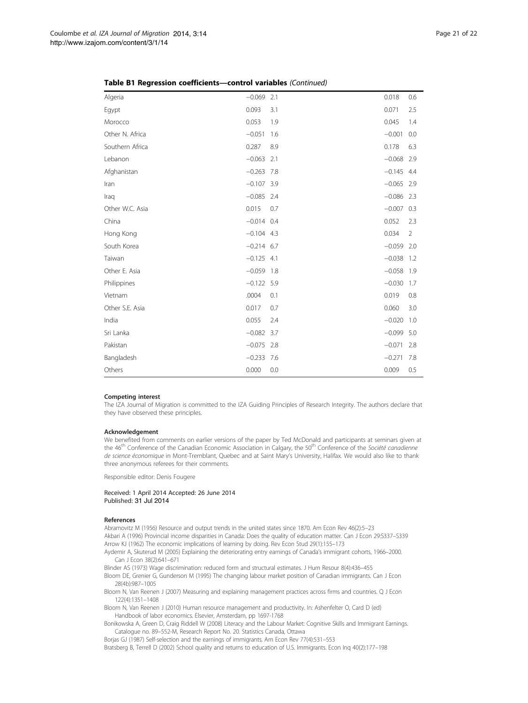| 0.6<br>2.5<br>1.4                                                                                                                |
|----------------------------------------------------------------------------------------------------------------------------------|
|                                                                                                                                  |
|                                                                                                                                  |
|                                                                                                                                  |
| 0.0                                                                                                                              |
| 6.3                                                                                                                              |
| 2.9                                                                                                                              |
| $-0.145$ 4.4                                                                                                                     |
| 2.9                                                                                                                              |
| 2.3                                                                                                                              |
| $-0.007$ 0.3                                                                                                                     |
| 2.3                                                                                                                              |
| $\overline{2}$                                                                                                                   |
| $-0.059$ 2.0                                                                                                                     |
| 1.2                                                                                                                              |
| 1.9                                                                                                                              |
| 1.7                                                                                                                              |
| 0.8                                                                                                                              |
| 3.0                                                                                                                              |
| 1.0                                                                                                                              |
| 5.0                                                                                                                              |
| 2.8                                                                                                                              |
| 7.8                                                                                                                              |
| 0.5                                                                                                                              |
| $-0.001$<br>$-0.068$<br>$-0.065$<br>$-0.086$<br>$-0.038$<br>$-0.058$<br>$-0.030$<br>$-0.020$<br>$-0.099$<br>$-0.071$<br>$-0.271$ |

<span id="page-20-0"></span>

|  |  | Table B1 Regression coefficients-control variables (Continued) |  |
|--|--|----------------------------------------------------------------|--|
|--|--|----------------------------------------------------------------|--|

#### Competing interest

The IZA Journal of Migration is committed to the IZA Guiding Principles of Research Integrity. The authors declare that they have observed these principles.

#### Acknowledgement

We benefited from comments on earlier versions of the paper by Ted McDonald and participants at seminars given at the 46<sup>th</sup> Conference of the Canadian Economic Association in Calgary, the 50<sup>th</sup> Conference of the Société canadienne de science économique in Mont-Tremblant, Quebec and at Saint Mary's University, Halifax. We would also like to thank three anonymous referees for their comments.

Responsible editor: Denis Fougere

Received: 1 April 2014 Accepted: 26 June 2014 Published: 31 Jul 2014

#### References

Abramovitz M (1956) Resource and output trends in the united states since 1870. Am Econ Rev 46(2):5–23 Akbari A (1996) Provincial income disparities in Canada: Does the quality of education matter. Can J Econ 29:S337–S339 Arrow KJ (1962) The economic implications of learning by doing. Rev Econ Stud 29(1):155–173

Aydemir A, Skuterud M (2005) Explaining the deteriorating entry earnings of Canada's immigrant cohorts, 1966–2000. Can J Econ 38(2):641–671

Blinder AS (1973) Wage discrimination: reduced form and structural estimates. J Hum Resour 8(4):436–455

Bloom DE, Grenier G, Gunderson M (1995) The changing labour market position of Canadian immigrants. Can J Econ 28(4b):987–1005

Bloom N, Van Reenen J (2007) Measuring and explaining management practices across firms and countries. Q J Econ 122(4):1351–1408

Bloom N, Van Reenen J (2010) Human resource management and productivity. In: Ashenfelter O, Card D (ed) Handbook of labor economics. Elsevier, Amsterdam, pp 1697-1768

Bonikowska A, Green D, Craig Riddell W (2008) Literacy and the Labour Market: Cognitive Skills and Immigrant Earnings. Catalogue no. 89–552-M, Research Report No. 20. Statistics Canada, Ottawa

Borjas GJ (1987) Self-selection and the earnings of immigrants. Am Econ Rev 77(4):531–553

Bratsberg B, Terrell D (2002) School quality and returns to education of U.S. Immigrants. Econ Inq 40(2):177–198